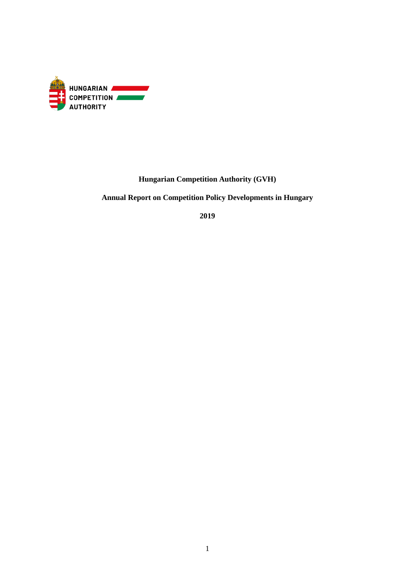

## **Hungarian Competition Authority (GVH)**

**Annual Report on Competition Policy Developments in Hungary**

**2019**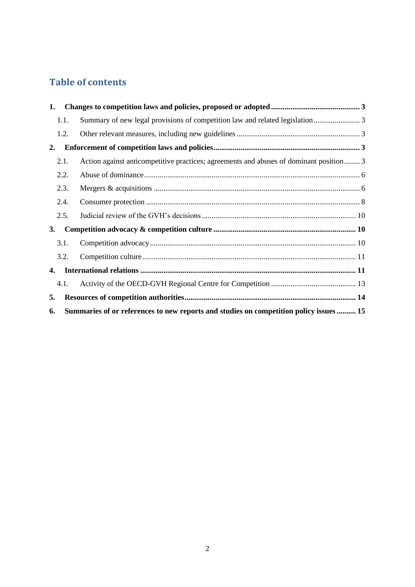# **Table of contents**

| 1. |                                                                                        |                                                                                         |  |  |  |
|----|----------------------------------------------------------------------------------------|-----------------------------------------------------------------------------------------|--|--|--|
|    | 1.1.                                                                                   |                                                                                         |  |  |  |
|    | 1.2.                                                                                   |                                                                                         |  |  |  |
| 2. |                                                                                        |                                                                                         |  |  |  |
|    | 2.1.                                                                                   | Action against anticompetitive practices; agreements and abuses of dominant position  3 |  |  |  |
|    | 2.2.                                                                                   |                                                                                         |  |  |  |
|    | 2.3.                                                                                   |                                                                                         |  |  |  |
|    | 2.4.                                                                                   |                                                                                         |  |  |  |
|    | 2.5.                                                                                   |                                                                                         |  |  |  |
| 3. |                                                                                        |                                                                                         |  |  |  |
|    | 3.1.                                                                                   |                                                                                         |  |  |  |
|    | 3.2.                                                                                   |                                                                                         |  |  |  |
| 4. |                                                                                        |                                                                                         |  |  |  |
|    | 4.1.                                                                                   |                                                                                         |  |  |  |
| 5. |                                                                                        |                                                                                         |  |  |  |
| 6. | Summaries of or references to new reports and studies on competition policy issues  15 |                                                                                         |  |  |  |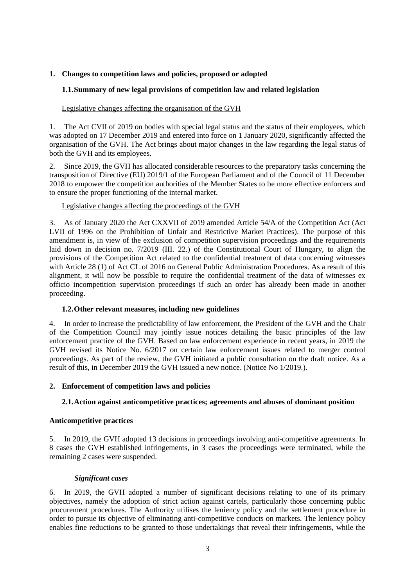## <span id="page-2-1"></span><span id="page-2-0"></span>**1. Changes to competition laws and policies, proposed or adopted**

#### **1.1.Summary of new legal provisions of competition law and related legislation**

#### Legislative changes affecting the organisation of the GVH

1. The Act CVII of 2019 on bodies with special legal status and the status of their employees, which was adopted on 17 December 2019 and entered into force on 1 January 2020, significantly affected the organisation of the GVH. The Act brings about major changes in the law regarding the legal status of both the GVH and its employees.

2. Since 2019, the GVH has allocated considerable resources to the preparatory tasks concerning the transposition of Directive (EU) 2019/1 of the European Parliament and of the Council of 11 December 2018 to empower the competition authorities of the Member States to be more effective enforcers and to ensure the proper functioning of the internal market.

#### Legislative changes affecting the proceedings of the GVH

3. As of January 2020 the Act CXXVII of 2019 amended Article 54/A of the Competition Act (Act LVII of 1996 on the Prohibition of Unfair and Restrictive Market Practices). The purpose of this amendment is, in view of the exclusion of competition supervision proceedings and the requirements laid down in decision no. 7/2019 (III. 22.) of the Constitutional Court of Hungary, to align the provisions of the Competition Act related to the confidential treatment of data concerning witnesses with Article 28 (1) of Act CL of 2016 on General Public Administration Procedures. As a result of this alignment, it will now be possible to require the confidential treatment of the data of witnesses ex officio incompetition supervision proceedings if such an order has already been made in another proceeding.

#### <span id="page-2-2"></span>**1.2.Other relevant measures, including new guidelines**

4. In order to increase the predictability of law enforcement, the President of the GVH and the Chair of the Competition Council may jointly issue notices detailing the basic principles of the law enforcement practice of the GVH. Based on law enforcement experience in recent years, in 2019 the GVH revised its Notice No. 6/2017 on certain law enforcement issues related to merger control proceedings. As part of the review, the GVH initiated a public consultation on the draft notice. As a result of this, in December 2019 the GVH issued a new notice. (Notice No 1/2019.).

#### <span id="page-2-4"></span><span id="page-2-3"></span>**2. Enforcement of competition laws and policies**

## **2.1.Action against anticompetitive practices; agreements and abuses of dominant position**

#### **Anticompetitive practices**

5. In 2019, the GVH adopted 13 decisions in proceedings involving anti-competitive agreements. In 8 cases the GVH established infringements, in 3 cases the proceedings were terminated, while the remaining 2 cases were suspended.

#### *Significant cases*

6. In 2019, the GVH adopted a number of significant decisions relating to one of its primary objectives, namely the adoption of strict action against cartels, particularly those concerning public procurement procedures. The Authority utilises the leniency policy and the settlement procedure in order to pursue its objective of eliminating anti-competitive conducts on markets. The leniency policy enables fine reductions to be granted to those undertakings that reveal their infringements, while the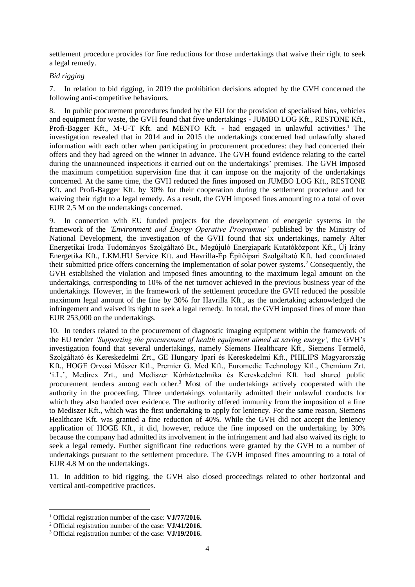settlement procedure provides for fine reductions for those undertakings that waive their right to seek a legal remedy.

## *Bid rigging*

7. In relation to bid rigging, in 2019 the prohibition decisions adopted by the GVH concerned the following anti-competitive behaviours.

8. In public procurement procedures funded by the EU for the provision of specialised bins, vehicles and equipment for waste, the GVH found that five undertakings **-** JUMBO LOG Kft., RESTONE Kft., Profi-Bagger Kft., M-U-T Kft. and MENTO Kft. **-** had engaged in unlawful activities.<sup>1</sup> The investigation revealed that in 2014 and in 2015 the undertakings concerned had unlawfully shared information with each other when participating in procurement procedures: they had concerted their offers and they had agreed on the winner in advance. The GVH found evidence relating to the cartel during the unannounced inspections it carried out on the undertakings' premises. The GVH imposed the maximum competition supervision fine that it can impose on the majority of the undertakings concerned. At the same time, the GVH reduced the fines imposed on JUMBO LOG Kft., RESTONE Kft. and Profi-Bagger Kft. by 30% for their cooperation during the settlement procedure and for waiving their right to a legal remedy. As a result, the GVH imposed fines amounting to a total of over EUR 2.5 M on the undertakings concerned.

9. In connection with EU funded projects for the development of energetic systems in the framework of the *'Environment and Energy Operative Programme'* published by the Ministry of National Development, the investigation of the GVH found that six undertakings, namely Alter Energetikai Iroda Tudományos Szolgáltató Bt., Megújuló Energiapark Kutatóközpont Kft., Új Irány Energetika Kft., LKM.HU Service Kft. and Havrilla-Ép Építőipari Szolgáltató Kft. had coordinated their submitted price offers concerning the implementation of solar power systems.<sup>2</sup> Consequently, the GVH established the violation and imposed fines amounting to the maximum legal amount on the undertakings, corresponding to 10% of the net turnover achieved in the previous business year of the undertakings. However, in the framework of the settlement procedure the GVH reduced the possible maximum legal amount of the fine by 30% for Havrilla Kft., as the undertaking acknowledged the infringement and waived its right to seek a legal remedy. In total, the GVH imposed fines of more than EUR 253,000 on the undertakings.

10. In tenders related to the procurement of diagnostic imaging equipment within the framework of the EU tender *'Supporting the procurement of health equipment aimed at saving energy',* the GVH's investigation found that several undertakings, namely Siemens Healthcare Kft., Siemens Termelő, Szolgáltató és Kereskedelmi Zrt., GE Hungary Ipari és Kereskedelmi Kft., PHILIPS Magyarország Kft., HOGE Orvosi Műszer Kft., Premier G. Med Kft., Euromedic Technology Kft., Chemium Zrt. 'i.L.', Medirex Zrt., and Mediszer Kórháztechnika és Kereskedelmi Kft. had shared public procurement tenders among each other.<sup>3</sup> Most of the undertakings actively cooperated with the authority in the proceeding. Three undertakings voluntarily admitted their unlawful conducts for which they also handed over evidence. The authority offered immunity from the imposition of a fine to Mediszer Kft., which was the first undertaking to apply for leniency. For the same reason, Siemens Healthcare Kft. was granted a fine reduction of 40%. While the GVH did not accept the leniency application of HOGE Kft., it did, however, reduce the fine imposed on the undertaking by 30% because the company had admitted its involvement in the infringement and had also waived its right to seek a legal remedy. Further significant fine reductions were granted by the GVH to a number of undertakings pursuant to the settlement procedure. The GVH imposed fines amounting to a total of EUR 4.8 M on the undertakings.

11. In addition to bid rigging, the GVH also closed proceedings related to other horizontal and vertical anti-competitive practices.

<sup>1</sup> Official registration number of the case: **VJ/77/2016.**

<sup>2</sup> Official registration number of the case: **VJ/41/2016.**

<sup>3</sup> Official registration number of the case: **VJ/19/2016.**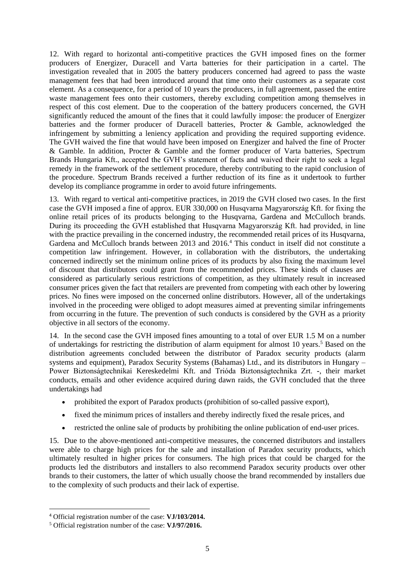12. With regard to horizontal anti-competitive practices the GVH imposed fines on the former producers of Energizer, Duracell and Varta batteries for their participation in a cartel. The investigation revealed that in 2005 the battery producers concerned had agreed to pass the waste management fees that had been introduced around that time onto their customers as a separate cost element. As a consequence, for a period of 10 years the producers, in full agreement, passed the entire waste management fees onto their customers, thereby excluding competition among themselves in respect of this cost element. Due to the cooperation of the battery producers concerned, the GVH significantly reduced the amount of the fines that it could lawfully impose: the producer of Energizer batteries and the former producer of Duracell batteries, Procter & Gamble, acknowledged the infringement by submitting a leniency application and providing the required supporting evidence. The GVH waived the fine that would have been imposed on Energizer and halved the fine of Procter & Gamble. In addition, Procter & Gamble and the former producer of Varta batteries, Spectrum Brands Hungaria Kft., accepted the GVH's statement of facts and waived their right to seek a legal remedy in the framework of the settlement procedure, thereby contributing to the rapid conclusion of the procedure. Spectrum Brands received a further reduction of its fine as it undertook to further develop its compliance programme in order to avoid future infringements.

13. With regard to vertical anti-competitive practices, in 2019 the GVH closed two cases. In the first case the GVH imposed a fine of approx. EUR 330,000 on Husqvarna Magyarország Kft. for fixing the online retail prices of its products belonging to the Husqvarna, Gardena and McCulloch brands. During its proceeding the GVH established that Husqvarna Magyarország Kft. had provided, in line with the practice prevailing in the concerned industry, the recommended retail prices of its Husqvarna, Gardena and McCulloch brands between 2013 and 2016.<sup>4</sup> This conduct in itself did not constitute a competition law infringement. However, in collaboration with the distributors, the undertaking concerned indirectly set the minimum online prices of its products by also fixing the maximum level of discount that distributors could grant from the recommended prices. These kinds of clauses are considered as particularly serious restrictions of competition, as they ultimately result in increased consumer prices given the fact that retailers are prevented from competing with each other by lowering prices. No fines were imposed on the concerned online distributors. However, all of the undertakings involved in the proceeding were obliged to adopt measures aimed at preventing similar infringements from occurring in the future. The prevention of such conducts is considered by the GVH as a priority objective in all sectors of the economy.

14. In the second case the GVH imposed fines amounting to a total of over EUR 1.5 M on a number of undertakings for restricting the distribution of alarm equipment for almost 10 years.<sup>5</sup> Based on the distribution agreements concluded between the distributor of Paradox security products (alarm systems and equipment), Paradox Security Systems (Bahamas) Ltd., and its distributors in Hungary – Power Biztonságtechnikai Kereskedelmi Kft. and Trióda Biztonságtechnika Zrt. **-**, their market conducts, emails and other evidence acquired during dawn raids, the GVH concluded that the three undertakings had

- prohibited the export of Paradox products (prohibition of so-called passive export),
- fixed the minimum prices of installers and thereby indirectly fixed the resale prices, and
- restricted the online sale of products by prohibiting the online publication of end-user prices.

15. Due to the above-mentioned anti-competitive measures, the concerned distributors and installers were able to charge high prices for the sale and installation of Paradox security products, which ultimately resulted in higher prices for consumers. The high prices that could be charged for the products led the distributors and installers to also recommend Paradox security products over other brands to their customers, the latter of which usually choose the brand recommended by installers due to the complexity of such products and their lack of expertise.

<sup>4</sup> Official registration number of the case: **VJ/103/2014.**

<sup>5</sup> Official registration number of the case: **VJ/97/2016.**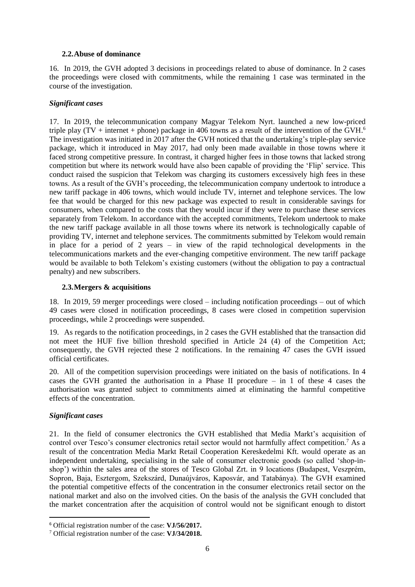#### <span id="page-5-0"></span>**2.2.Abuse of dominance**

16. In 2019, the GVH adopted 3 decisions in proceedings related to abuse of dominance. In 2 cases the proceedings were closed with commitments, while the remaining 1 case was terminated in the course of the investigation.

#### *Significant cases*

17. In 2019, the telecommunication company Magyar Telekom Nyrt. launched a new low-priced triple play (TV + internet + phone) package in 406 towns as a result of the intervention of the GVH.<sup>6</sup> The investigation was initiated in 2017 after the GVH noticed that the undertaking's triple-play service package, which it introduced in May 2017, had only been made available in those towns where it faced strong competitive pressure. In contrast, it charged higher fees in those towns that lacked strong competition but where its network would have also been capable of providing the 'Flip' service. This conduct raised the suspicion that Telekom was charging its customers excessively high fees in these towns. As a result of the GVH's proceeding, the telecommunication company undertook to introduce a new tariff package in 406 towns, which would include TV, internet and telephone services. The low fee that would be charged for this new package was expected to result in considerable savings for consumers, when compared to the costs that they would incur if they were to purchase these services separately from Telekom. In accordance with the accepted commitments, Telekom undertook to make the new tariff package available in all those towns where its network is technologically capable of providing TV, internet and telephone services. The commitments submitted by Telekom would remain in place for a period of 2 years – in view of the rapid technological developments in the telecommunications markets and the ever-changing competitive environment. The new tariff package would be available to both Telekom's existing customers (without the obligation to pay a contractual penalty) and new subscribers.

#### <span id="page-5-1"></span>**2.3.Mergers & acquisitions**

18. In 2019, 59 merger proceedings were closed – including notification proceedings – out of which 49 cases were closed in notification proceedings, 8 cases were closed in competition supervision proceedings, while 2 proceedings were suspended.

19. As regards to the notification proceedings, in 2 cases the GVH established that the transaction did not meet the HUF five billion threshold specified in Article 24 (4) of the Competition Act; consequently, the GVH rejected these 2 notifications. In the remaining 47 cases the GVH issued official certificates.

20. All of the competition supervision proceedings were initiated on the basis of notifications. In 4 cases the GVH granted the authorisation in a Phase II procedure – in 1 of these 4 cases the authorisation was granted subject to commitments aimed at eliminating the harmful competitive effects of the concentration.

#### *Significant cases*

21. In the field of consumer electronics the GVH established that Media Markt's acquisition of control over Tesco's consumer electronics retail sector would not harmfully affect competition.<sup>7</sup> As a result of the concentration Media Markt Retail Cooperation Kereskedelmi Kft. would operate as an independent undertaking, specialising in the sale of consumer electronic goods (so called 'shop-inshop') within the sales area of the stores of Tesco Global Zrt. in 9 locations (Budapest, Veszprém, Sopron, Baja, Esztergom, Szekszárd, Dunaújváros, Kaposvár, and Tatabánya). The GVH examined the potential competitive effects of the concentration in the consumer electronics retail sector on the national market and also on the involved cities. On the basis of the analysis the GVH concluded that the market concentration after the acquisition of control would not be significant enough to distort

<sup>6</sup> Official registration number of the case: **VJ/56/2017.**

<sup>7</sup> Official registration number of the case: **VJ/34/2018.**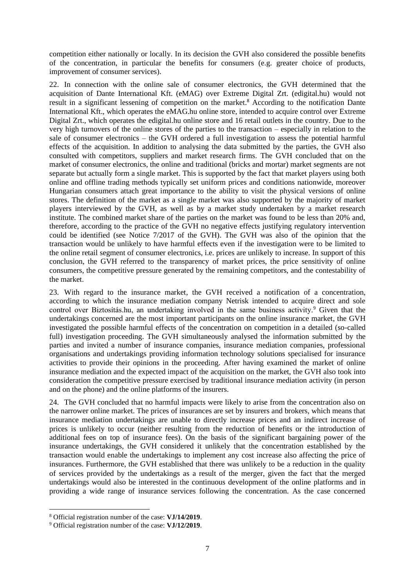competition either nationally or locally. In its decision the GVH also considered the possible benefits of the concentration, in particular the benefits for consumers (e.g. greater choice of products, improvement of consumer services).

22. In connection with the online sale of consumer electronics, the GVH determined that the acquisition of Dante International Kft. (eMAG) over Extreme Digital Zrt. (edigital.hu) would not result in a significant lessening of competition on the market.<sup>8</sup> According to the notification Dante International Kft., which operates the eMAG.hu online store, intended to acquire control over Extreme Digital Zrt., which operates the edigital.hu online store and 16 retail outlets in the country. Due to the very high turnovers of the online stores of the parties to the transaction – especially in relation to the sale of consumer electronics – the GVH ordered a full investigation to assess the potential harmful effects of the acquisition. In addition to analysing the data submitted by the parties, the GVH also consulted with competitors, suppliers and market research firms. The GVH concluded that on the market of consumer electronics, the online and traditional (bricks and mortar) market segments are not separate but actually form a single market. This is supported by the fact that market players using both online and offline trading methods typically set uniform prices and conditions nationwide, moreover Hungarian consumers attach great importance to the ability to visit the physical versions of online stores. The definition of the market as a single market was also supported by the majority of market players interviewed by the GVH, as well as by a market study undertaken by a market research institute. The combined market share of the parties on the market was found to be less than 20% and, therefore, according to the practice of the GVH no negative effects justifying regulatory intervention could be identified (see Notice 7/2017 of the GVH). The GVH was also of the opinion that the transaction would be unlikely to have harmful effects even if the investigation were to be limited to the online retail segment of consumer electronics, i.e. prices are unlikely to increase. In support of this conclusion, the GVH referred to the transparency of market prices, the price sensitivity of online consumers, the competitive pressure generated by the remaining competitors, and the contestability of the market.

23. With regard to the insurance market, the GVH received a notification of a concentration, according to which the insurance mediation company Netrisk intended to acquire direct and sole control over Biztosítás.hu, an undertaking involved in the same business activity.<sup>9</sup> Given that the undertakings concerned are the most important participants on the online insurance market, the GVH investigated the possible harmful effects of the concentration on competition in a detailed (so-called full) investigation proceeding. The GVH simultaneously analysed the information submitted by the parties and invited a number of insurance companies, insurance mediation companies, professional organisations and undertakings providing information technology solutions specialised for insurance activities to provide their opinions in the proceeding. After having examined the market of online insurance mediation and the expected impact of the acquisition on the market, the GVH also took into consideration the competitive pressure exercised by traditional insurance mediation activity (in person and on the phone) and the online platforms of the insurers.

24. The GVH concluded that no harmful impacts were likely to arise from the concentration also on the narrower online market. The prices of insurances are set by insurers and brokers, which means that insurance mediation undertakings are unable to directly increase prices and an indirect increase of prices is unlikely to occur (neither resulting from the reduction of benefits or the introduction of additional fees on top of insurance fees). On the basis of the significant bargaining power of the insurance undertakings, the GVH considered it unlikely that the concentration established by the transaction would enable the undertakings to implement any cost increase also affecting the price of insurances. Furthermore, the GVH established that there was unlikely to be a reduction in the quality of services provided by the undertakings as a result of the merger, given the fact that the merged undertakings would also be interested in the continuous development of the online platforms and in providing a wide range of insurance services following the concentration. As the case concerned

<sup>8</sup> Official registration number of the case: **VJ/14/2019**.

<sup>9</sup> Official registration number of the case: **VJ/12/2019**.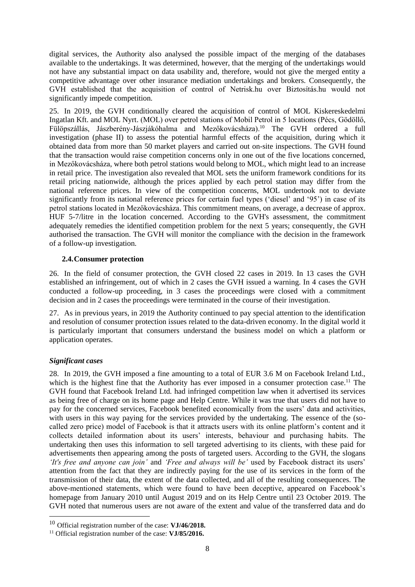digital services, the Authority also analysed the possible impact of the merging of the databases available to the undertakings. It was determined, however, that the merging of the undertakings would not have any substantial impact on data usability and, therefore, would not give the merged entity a competitive advantage over other insurance mediation undertakings and brokers. Consequently, the GVH established that the acquisition of control of Netrisk.hu over Biztosítás.hu would not significantly impede competition.

25. In 2019, the GVH conditionally cleared the acquisition of control of MOL Kiskereskedelmi Ingatlan Kft. and MOL Nyrt. (MOL) over petrol stations of Mobil Petrol in 5 locations (Pécs, Gödöllő, Fülöpszállás, Jászberény-Jászjákóhalma and Mezőkovácsháza).<sup>10</sup> The GVH ordered a full investigation (phase II) to assess the potential harmful effects of the acquisition, during which it obtained data from more than 50 market players and carried out on-site inspections. The GVH found that the transaction would raise competition concerns only in one out of the five locations concerned, in Mezőkovácsháza, where both petrol stations would belong to MOL, which might lead to an increase in retail price. The investigation also revealed that MOL sets the uniform framework conditions for its retail pricing nationwide, although the prices applied by each petrol station may differ from the national reference prices. In view of the competition concerns, MOL undertook not to deviate significantly from its national reference prices for certain fuel types ('diesel' and '95') in case of its petrol stations located in Mezőkovácsháza. This commitment means, on average, a decrease of approx. HUF 5-7/litre in the location concerned. According to the GVH's assessment, the commitment adequately remedies the identified competition problem for the next 5 years; consequently, the GVH authorised the transaction. The GVH will monitor the compliance with the decision in the framework of a follow-up investigation.

#### <span id="page-7-0"></span>**2.4.Consumer protection**

26. In the field of consumer protection, the GVH closed 22 cases in 2019. In 13 cases the GVH established an infringement, out of which in 2 cases the GVH issued a warning. In 4 cases the GVH conducted a follow-up proceeding, in 3 cases the proceedings were closed with a commitment decision and in 2 cases the proceedings were terminated in the course of their investigation.

27. As in previous years, in 2019 the Authority continued to pay special attention to the identification and resolution of consumer protection issues related to the data-driven economy. In the digital world it is particularly important that consumers understand the business model on which a platform or application operates.

## *Significant cases*

28. In 2019, the GVH imposed a fine amounting to a total of EUR 3.6 M on Facebook Ireland Ltd., which is the highest fine that the Authority has ever imposed in a consumer protection case.<sup>11</sup> The GVH found that Facebook Ireland Ltd. had infringed competition law when it advertised its services as being free of charge on its home page and Help Centre. While it was true that users did not have to pay for the concerned services, Facebook benefited economically from the users' data and activities, with users in this way paying for the services provided by the undertaking. The essence of the (socalled zero price) model of Facebook is that it attracts users with its online platform's content and it collects detailed information about its users' interests, behaviour and purchasing habits. The undertaking then uses this information to sell targeted advertising to its clients, with these paid for advertisements then appearing among the posts of targeted users. According to the GVH, the slogans *'It's free and anyone can join'* and *'Free and always will be'* used by Facebook distract its users' attention from the fact that they are indirectly paying for the use of its services in the form of the transmission of their data, the extent of the data collected, and all of the resulting consequences. The above-mentioned statements, which were found to have been deceptive, appeared on Facebook's homepage from January 2010 until August 2019 and on its Help Centre until 23 October 2019. The GVH noted that numerous users are not aware of the extent and value of the transferred data and do

<sup>10</sup> Official registration number of the case: **VJ/46/2018.**

<sup>11</sup> Official registration number of the case: **VJ/85/2016.**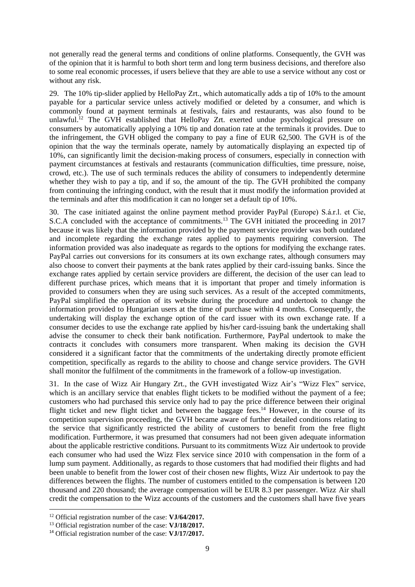not generally read the general terms and conditions of online platforms. Consequently, the GVH was of the opinion that it is harmful to both short term and long term business decisions, and therefore also to some real economic processes, if users believe that they are able to use a service without any cost or without any risk.

29. The 10% tip-slider applied by HelloPay Zrt., which automatically adds a tip of 10% to the amount payable for a particular service unless actively modified or deleted by a consumer, and which is commonly found at payment terminals at festivals, fairs and restaurants, was also found to be unlawful. <sup>12</sup> The GVH established that HelloPay Zrt. exerted undue psychological pressure on consumers by automatically applying a 10% tip and donation rate at the terminals it provides. Due to the infringement, the GVH obliged the company to pay a fine of EUR 62,500. The GVH is of the opinion that the way the terminals operate, namely by automatically displaying an expected tip of 10%, can significantly limit the decision-making process of consumers, especially in connection with payment circumstances at festivals and restaurants (communication difficulties, time pressure, noise, crowd, etc.). The use of such terminals reduces the ability of consumers to independently determine whether they wish to pay a tip, and if so, the amount of the tip. The GVH prohibited the company from continuing the infringing conduct, with the result that it must modify the information provided at the terminals and after this modification it can no longer set a default tip of 10%.

30. The case initiated against the online payment method provider PayPal (Europe) S.á.r.l. et Cie, S.C.A concluded with the acceptance of commitments.<sup>13</sup> The GVH initiated the proceeding in 2017 because it was likely that the information provided by the payment service provider was both outdated and incomplete regarding the exchange rates applied to payments requiring conversion. The information provided was also inadequate as regards to the options for modifying the exchange rates. PayPal carries out conversions for its consumers at its own exchange rates, although consumers may also choose to convert their payments at the bank rates applied by their card-issuing banks. Since the exchange rates applied by certain service providers are different, the decision of the user can lead to different purchase prices, which means that it is important that proper and timely information is provided to consumers when they are using such services. As a result of the accepted commitments, PayPal simplified the operation of its website during the procedure and undertook to change the information provided to Hungarian users at the time of purchase within 4 months. Consequently, the undertaking will display the exchange option of the card issuer with its own exchange rate. If a consumer decides to use the exchange rate applied by his/her card-issuing bank the undertaking shall advise the consumer to check their bank notification. Furthermore, PayPal undertook to make the contracts it concludes with consumers more transparent. When making its decision the GVH considered it a significant factor that the commitments of the undertaking directly promote efficient competition, specifically as regards to the ability to choose and change service providers. The GVH shall monitor the fulfilment of the commitments in the framework of a follow-up investigation.

31. In the case of Wizz Air Hungary Zrt., the GVH investigated Wizz Air's "Wizz Flex" service, which is an ancillary service that enables flight tickets to be modified without the payment of a fee; customers who had purchased this service only had to pay the price difference between their original flight ticket and new flight ticket and between the baggage fees.<sup>14</sup> However, in the course of its competition supervision proceeding, the GVH became aware of further detailed conditions relating to the service that significantly restricted the ability of customers to benefit from the free flight modification. Furthermore, it was presumed that consumers had not been given adequate information about the applicable restrictive conditions. Pursuant to its commitments Wizz Air undertook to provide each consumer who had used the Wizz Flex service since 2010 with compensation in the form of a lump sum payment. Additionally, as regards to those customers that had modified their flights and had been unable to benefit from the lower cost of their chosen new flights, Wizz Air undertook to pay the differences between the flights. The number of customers entitled to the compensation is between 120 thousand and 220 thousand; the average compensation will be EUR 8.3 per passenger. Wizz Air shall credit the compensation to the Wizz accounts of the customers and the customers shall have five years

<sup>12</sup> Official registration number of the case: **VJ/64/2017.**

<sup>13</sup> Official registration number of the case: **VJ/18/2017.**

<sup>14</sup> Official registration number of the case: **VJ/17/2017.**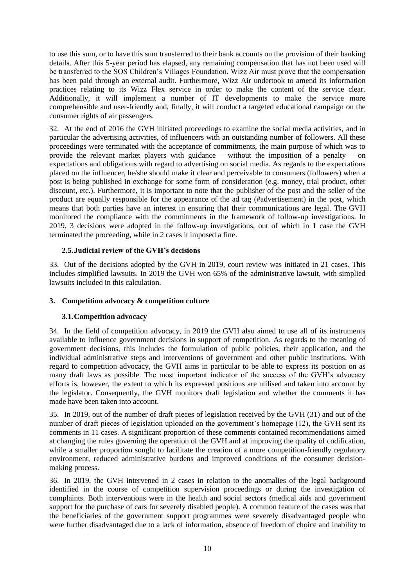to use this sum, or to have this sum transferred to their bank accounts on the provision of their banking details. After this 5-year period has elapsed, any remaining compensation that has not been used will be transferred to the SOS Children's Villages Foundation. Wizz Air must prove that the compensation has been paid through an external audit. Furthermore, Wizz Air undertook to amend its information practices relating to its Wizz Flex service in order to make the content of the service clear. Additionally, it will implement a number of IT developments to make the service more comprehensible and user-friendly and, finally, it will conduct a targeted educational campaign on the consumer rights of air passengers.

32. At the end of 2016 the GVH initiated proceedings to examine the social media activities, and in particular the advertising activities, of influencers with an outstanding number of followers. All these proceedings were terminated with the acceptance of commitments, the main purpose of which was to provide the relevant market players with guidance – without the imposition of a penalty – on expectations and obligations with regard to advertising on social media. As regards to the expectations placed on the influencer, he/she should make it clear and perceivable to consumers (followers) when a post is being published in exchange for some form of consideration (e.g. money, trial product, other discount, etc.). Furthermore, it is important to note that the publisher of the post and the seller of the product are equally responsible for the appearance of the ad tag (#advertisement) in the post, which means that both parties have an interest in ensuring that their communications are legal. The GVH monitored the compliance with the commitments in the framework of follow-up investigations. In 2019, 3 decisions were adopted in the follow-up investigations, out of which in 1 case the GVH terminated the proceeding, while in 2 cases it imposed a fine.

#### <span id="page-9-0"></span>**2.5.Judicial review of the GVH's decisions**

33. Out of the decisions adopted by the GVH in 2019, court review was initiated in 21 cases. This includes simplified lawsuits. In 2019 the GVH won 65% of the administrative lawsuit, with simplied lawsuits included in this calculation.

#### <span id="page-9-2"></span><span id="page-9-1"></span>**3. Competition advocacy & competition culture**

#### **3.1.Competition advocacy**

34. In the field of competition advocacy, in 2019 the GVH also aimed to use all of its instruments available to influence government decisions in support of competition. As regards to the meaning of government decisions, this includes the formulation of public policies, their application, and the individual administrative steps and interventions of government and other public institutions. With regard to competition advocacy, the GVH aims in particular to be able to express its position on as many draft laws as possible. The most important indicator of the success of the GVH's advocacy efforts is, however, the extent to which its expressed positions are utilised and taken into account by the legislator. Consequently, the GVH monitors draft legislation and whether the comments it has made have been taken into account.

35. In 2019, out of the number of draft pieces of legislation received by the GVH (31) and out of the number of draft pieces of legislation uploaded on the government's homepage (12), the GVH sent its comments in 11 cases. A significant proportion of these comments contained recommendations aimed at changing the rules governing the operation of the GVH and at improving the quality of codification, while a smaller proportion sought to facilitate the creation of a more competition-friendly regulatory environment, reduced administrative burdens and improved conditions of the consumer decisionmaking process.

36. In 2019, the GVH intervened in 2 cases in relation to the anomalies of the legal background identified in the course of competition supervision proceedings or during the investigation of complaints. Both interventions were in the health and social sectors (medical aids and government support for the purchase of cars for severely disabled people). A common feature of the cases was that the beneficiaries of the government support programmes were severely disadvantaged people who were further disadvantaged due to a lack of information, absence of freedom of choice and inability to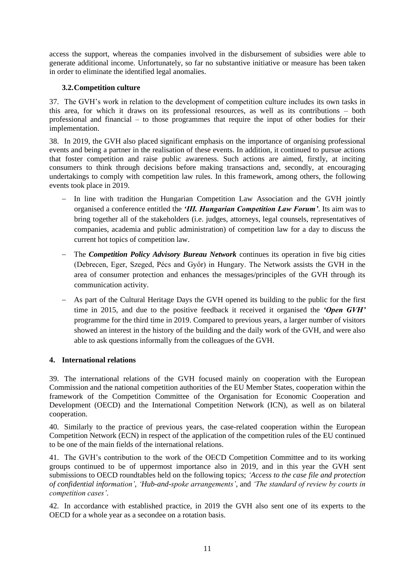access the support, whereas the companies involved in the disbursement of subsidies were able to generate additional income. Unfortunately, so far no substantive initiative or measure has been taken in order to eliminate the identified legal anomalies.

## <span id="page-10-0"></span>**3.2.Competition culture**

37. The GVH's work in relation to the development of competition culture includes its own tasks in this area, for which it draws on its professional resources, as well as its contributions – both professional and financial – to those programmes that require the input of other bodies for their implementation.

38. In 2019, the GVH also placed significant emphasis on the importance of organising professional events and being a partner in the realisation of these events. In addition, it continued to pursue actions that foster competition and raise public awareness. Such actions are aimed, firstly, at inciting consumers to think through decisions before making transactions and, secondly, at encouraging undertakings to comply with competition law rules. In this framework, among others, the following events took place in 2019.

- − In line with tradition the Hungarian Competition Law Association and the GVH jointly organised a conference entitled the *'III. Hungarian Competition Law Forum'*. Its aim was to bring together all of the stakeholders (i.e. judges, attorneys, legal counsels, representatives of companies, academia and public administration) of competition law for a day to discuss the current hot topics of competition law.
- − The *Competition Policy Advisory Bureau Network* continues its operation in five big cities (Debrecen, Eger, Szeged, Pécs and Győr) in Hungary. The Network assists the GVH in the area of consumer protection and enhances the messages/principles of the GVH through its communication activity.
- − As part of the Cultural Heritage Days the GVH opened its building to the public for the first time in 2015, and due to the positive feedback it received it organised the *'Open GVH'*  programme for the third time in 2019. Compared to previous years, a larger number of visitors showed an interest in the history of the building and the daily work of the GVH, and were also able to ask questions informally from the colleagues of the GVH.

## <span id="page-10-1"></span>**4. International relations**

39. The international relations of the GVH focused mainly on cooperation with the European Commission and the national competition authorities of the EU Member States, cooperation within the framework of the Competition Committee of the Organisation for Economic Cooperation and Development (OECD) and the International Competition Network (ICN), as well as on bilateral cooperation.

40. Similarly to the practice of previous years, the case-related cooperation within the European Competition Network (ECN) in respect of the application of the competition rules of the EU continued to be one of the main fields of the international relations.

41. The GVH's contribution to the work of the OECD Competition Committee and to its working groups continued to be of uppermost importance also in 2019, and in this year the GVH sent submissions to OECD roundtables held on the following topics; *'Access to the case file and protection of confidential information'*, *'Hub-and-spoke arrangements'*, and *'The standard of review by courts in competition cases'*.

42. In accordance with established practice, in 2019 the GVH also sent one of its experts to the OECD for a whole year as a secondee on a rotation basis.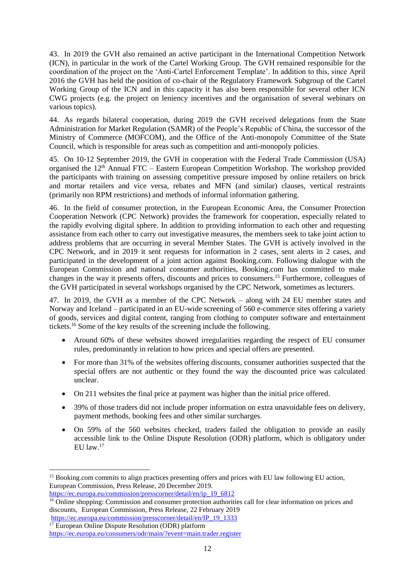43. In 2019 the GVH also remained an active participant in the International Competition Network (ICN), in particular in the work of the Cartel Working Group. The GVH remained responsible for the coordination of the project on the 'Anti-Cartel Enforcement Template'. In addition to this, since April 2016 the GVH has held the position of co-chair of the Regulatory Framework Subgroup of the Cartel Working Group of the ICN and in this capacity it has also been responsible for several other ICN CWG projects (e.g. the project on leniency incentives and the organisation of several webinars on various topics).

44. As regards bilateral cooperation, during 2019 the GVH received delegations from the State Administration for Market Regulation (SAMR) of the People's Republic of China, the successor of the Ministry of Commerce (MOFCOM), and the Office of the Anti-monopoly Committee of the State Council, which is responsible for areas such as competition and anti-monopoly policies.

45. On 10-12 September 2019, the GVH in cooperation with the Federal Trade Commission (USA) organised the 12<sup>th</sup> Annual FTC – Eastern European Competition Workshop. The workshop provided the participants with training on assessing competitive pressure imposed by online retailers on brick and mortar retailers and vice versa, rebates and MFN (and similar) clauses, vertical restraints (primarily non RPM restrictions) and methods of informal information gathering.

46. In the field of consumer protection, in the European Economic Area, the Consumer Protection Cooperation Network (CPC Network) provides the framework for cooperation, especially related to the rapidly evolving digital sphere. In addition to providing information to each other and requesting assistance from each other to carry out investigative measures, the members seek to take joint action to address problems that are occurring in several Member States. The GVH is actively involved in the CPC Network, and in 2019 it sent requests for information in 2 cases, sent alerts in 2 cases, and participated in the development of a joint action against Booking.com. Following dialogue with the European Commission and national consumer authorities, Booking.com has committed to make changes in the way it presents offers, discounts and prices to consumers.<sup>15</sup> Furthermore, colleagues of the GVH participated in several workshops organised by the CPC Network, sometimes as lecturers.

47. In 2019, the GVH as a member of the CPC Network – along with 24 EU member states and Norway and Iceland – participated in an EU-wide screening of 560 e-commerce sites offering a variety of goods, services and digital content, ranging from clothing to computer software and entertainment tickets.<sup>16</sup> Some of the key results of the screening include the following.

- Around 60% of these websites showed irregularities regarding the respect of EU consumer rules, predominantly in relation to how prices and special offers are presented.
- For more than 31% of the websites offering discounts, consumer authorities suspected that the special offers are not authentic or they found the way the discounted price was calculated unclear.
- On 211 websites the final price at payment was higher than the initial price offered.
- 39% of those traders did not include proper information on extra unavoidable fees on delivery, payment methods, booking fees and other similar surcharges.
- On 59% of the 560 websites checked, traders failed the obligation to provide an easily accessible link to the Online Dispute Resolution (ODR) platform, which is obligatory under EU law.<sup>17</sup>

<sup>&</sup>lt;sup>15</sup> Booking.com commits to align practices presenting offers and prices with EU law following EU action, European Commission, Press Release, 20 December 2019.

[https://ec.europa.eu/commission/presscorner/detail/en/ip\\_19\\_6812](https://ec.europa.eu/commission/presscorner/detail/en/ip_19_6812)

<sup>&</sup>lt;sup>16</sup> Online shopping: Commission and consumer protection authorities call for clear information on prices and discounts, European Commission, Press Release, 22 February 2019

[https://ec.europa.eu/commission/presscorner/detail/en/IP\\_19\\_1333](https://ec.europa.eu/commission/presscorner/detail/en/IP_19_1333) <sup>17</sup> European Online Dispute Resolution (ODR) platform

<https://ec.europa.eu/consumers/odr/main/?event=main.trader.register>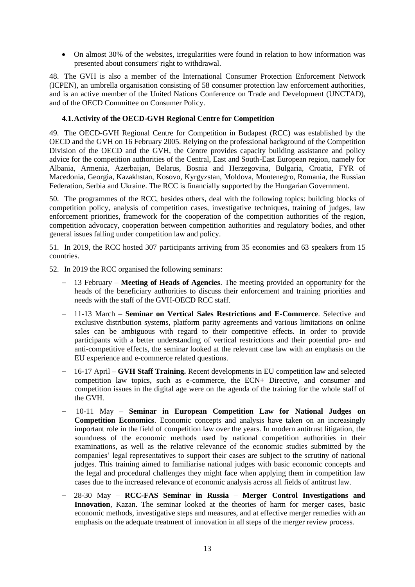• On almost 30% of the websites, irregularities were found in relation to how information was presented about consumers' right to withdrawal.

48. The GVH is also a member of the International Consumer Protection Enforcement Network (ICPEN), an umbrella organisation consisting of 58 consumer protection law enforcement authorities, and is an active member of the United Nations Conference on Trade and Development (UNCTAD), and of the OECD Committee on Consumer Policy.

#### <span id="page-12-0"></span>**4.1.Activity of the OECD-GVH Regional Centre for Competition**

49. The OECD-GVH Regional Centre for Competition in Budapest (RCC) was established by the OECD and the GVH on 16 February 2005. Relying on the professional background of the Competition Division of the OECD and the GVH, the Centre provides capacity building assistance and policy advice for the competition authorities of the Central, East and South-East European region, namely for Albania, Armenia, Azerbaijan, Belarus, Bosnia and Herzegovina, Bulgaria, Croatia, FYR of Macedonia, Georgia, Kazakhstan, Kosovo, Kyrgyzstan, Moldova, Montenegro, Romania, the Russian Federation, Serbia and Ukraine. The RCC is financially supported by the Hungarian Government.

50. The programmes of the RCC, besides others, deal with the following topics: building blocks of competition policy, analysis of competition cases, investigative techniques, training of judges, law enforcement priorities, framework for the cooperation of the competition authorities of the region, competition advocacy, cooperation between competition authorities and regulatory bodies, and other general issues falling under competition law and policy.

51. In 2019, the RCC hosted 307 participants arriving from 35 economies and 63 speakers from 15 countries.

52. In 2019 the RCC organised the following seminars:

- − 13 February **Meeting of Heads of Agencies**. The meeting provided an opportunity for the heads of the beneficiary authorities to discuss their enforcement and training priorities and needs with the staff of the GVH-OECD RCC staff.
- − 11-13 March **Seminar on Vertical Sales Restrictions and E-Commerce**. Selective and exclusive distribution systems, platform parity agreements and various limitations on online sales can be ambiguous with regard to their competitive effects. In order to provide participants with a better understanding of vertical restrictions and their potential pro- and anti-competitive effects, the seminar looked at the relevant case law with an emphasis on the EU experience and e-commerce related questions.
- − 16-17 April **– GVH Staff Training.** Recent developments in EU competition law and selected competition law topics, such as e-commerce, the ECN+ Directive, and consumer and competition issues in the digital age were on the agenda of the training for the whole staff of the GVH.
- − 10-11 May **– Seminar in European Competition Law for National Judges on Competition Economics**. Economic concepts and analysis have taken on an increasingly important role in the field of competition law over the years. In modern antitrust litigation, the soundness of the economic methods used by national competition authorities in their examinations, as well as the relative relevance of the economic studies submitted by the companies' legal representatives to support their cases are subject to the scrutiny of national judges. This training aimed to familiarise national judges with basic economic concepts and the legal and procedural challenges they might face when applying them in competition law cases due to the increased relevance of economic analysis across all fields of antitrust law.
- − 28-30 May **RCC-FAS Seminar in Russia Merger Control Investigations and Innovation**, Kazan. The seminar looked at the theories of harm for merger cases, basic economic methods, investigative steps and measures, and at effective merger remedies with an emphasis on the adequate treatment of innovation in all steps of the merger review process.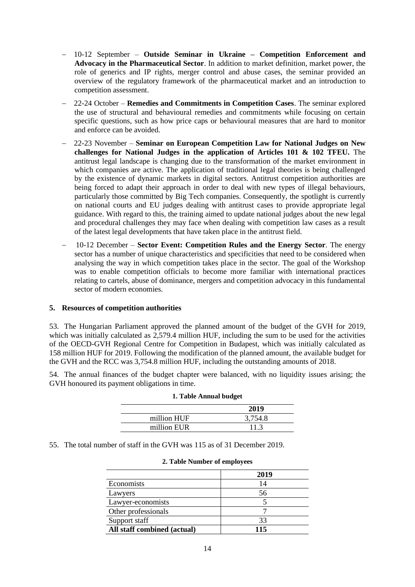- − 10-12 September **Outside Seminar in Ukraine – Competition Enforcement and Advocacy in the Pharmaceutical Sector**. In addition to market definition, market power, the role of generics and IP rights, merger control and abuse cases, the seminar provided an overview of the regulatory framework of the pharmaceutical market and an introduction to competition assessment.
- − 22-24 October **Remedies and Commitments in Competition Cases**. The seminar explored the use of structural and behavioural remedies and commitments while focusing on certain specific questions, such as how price caps or behavioural measures that are hard to monitor and enforce can be avoided.
- − 22-23 November **Seminar on European Competition Law for National Judges on New challenges for National Judges in the application of Articles 101 & 102 TFEU.** The antitrust legal landscape is changing due to the transformation of the market environment in which companies are active. The application of traditional legal theories is being challenged by the existence of dynamic markets in digital sectors. Antitrust competition authorities are being forced to adapt their approach in order to deal with new types of illegal behaviours, particularly those committed by Big Tech companies. Consequently, the spotlight is currently on national courts and EU judges dealing with antitrust cases to provide appropriate legal guidance. With regard to this, the training aimed to update national judges about the new legal and procedural challenges they may face when dealing with competition law cases as a result of the latest legal developments that have taken place in the antitrust field.
- − 10-12 December **Sector Event: Competition Rules and the Energy Sector**. The energy sector has a number of unique characteristics and specificities that need to be considered when analysing the way in which competition takes place in the sector. The goal of the Workshop was to enable competition officials to become more familiar with international practices relating to cartels, abuse of dominance, mergers and competition advocacy in this fundamental sector of modern economies.

#### <span id="page-13-0"></span>**5. Resources of competition authorities**

53. The Hungarian Parliament approved the planned amount of the budget of the GVH for 2019, which was initially calculated as 2,579.4 million HUF, including the sum to be used for the activities of the OECD-GVH Regional Centre for Competition in Budapest, which was initially calculated as 158 million HUF for 2019. Following the modification of the planned amount, the available budget for the GVH and the RCC was 3,754.8 million HUF, including the outstanding amounts of 2018.

54. The annual finances of the budget chapter were balanced, with no liquidity issues arising; the GVH honoured its payment obligations in time.

|             | 2019    |
|-------------|---------|
| million HUF | 3,754.8 |
| million EUR | 11.3    |

#### **1. Table Annual budget**

55. The total number of staff in the GVH was 115 as of 31 December 2019.

|                             | 2019 |  |  |
|-----------------------------|------|--|--|
| Economists                  | 14   |  |  |
| Lawyers                     | 56   |  |  |
| Lawyer-economists           |      |  |  |
| Other professionals         |      |  |  |
| Support staff               | 33   |  |  |
| All staff combined (actual) | 115  |  |  |

#### **2. Table Number of employees**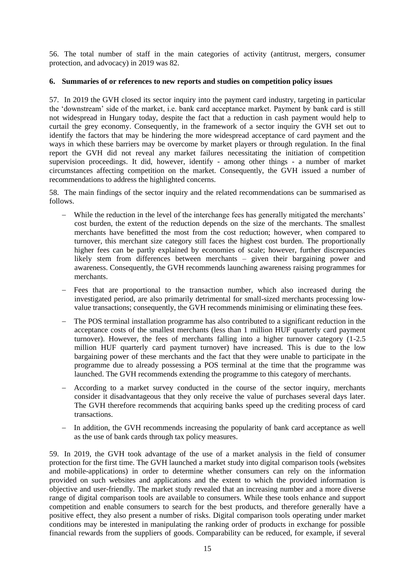56. The total number of staff in the main categories of activity (antitrust, mergers, consumer protection, and advocacy) in 2019 was 82.

#### <span id="page-14-0"></span>**6. Summaries of or references to new reports and studies on competition policy issues**

57. In 2019 the GVH closed its sector inquiry into the payment card industry, targeting in particular the 'downstream' side of the market, i.e. bank card acceptance market. Payment by bank card is still not widespread in Hungary today, despite the fact that a reduction in cash payment would help to curtail the grey economy. Consequently, in the framework of a sector inquiry the GVH set out to identify the factors that may be hindering the more widespread acceptance of card payment and the ways in which these barriers may be overcome by market players or through regulation. In the final report the GVH did not reveal any market failures necessitating the initiation of competition supervision proceedings. It did, however, identify - among other things - a number of market circumstances affecting competition on the market. Consequently, the GVH issued a number of recommendations to address the highlighted concerns.

58. The main findings of the sector inquiry and the related recommendations can be summarised as follows.

- − While the reduction in the level of the interchange fees has generally mitigated the merchants' cost burden, the extent of the reduction depends on the size of the merchants. The smallest merchants have benefitted the most from the cost reduction; however, when compared to turnover, this merchant size category still faces the highest cost burden. The proportionally higher fees can be partly explained by economies of scale; however, further discrepancies likely stem from differences between merchants – given their bargaining power and awareness. Consequently, the GVH recommends launching awareness raising programmes for merchants.
- Fees that are proportional to the transaction number, which also increased during the investigated period, are also primarily detrimental for small-sized merchants processing lowvalue transactions; consequently, the GVH recommends minimising or eliminating these fees.
- The POS terminal installation programme has also contributed to a significant reduction in the acceptance costs of the smallest merchants (less than 1 million HUF quarterly card payment turnover). However, the fees of merchants falling into a higher turnover category (1-2.5 million HUF quarterly card payment turnover) have increased. This is due to the low bargaining power of these merchants and the fact that they were unable to participate in the programme due to already possessing a POS terminal at the time that the programme was launched. The GVH recommends extending the programme to this category of merchants.
- According to a market survey conducted in the course of the sector inquiry, merchants consider it disadvantageous that they only receive the value of purchases several days later. The GVH therefore recommends that acquiring banks speed up the crediting process of card transactions.
- − In addition, the GVH recommends increasing the popularity of bank card acceptance as well as the use of bank cards through tax policy measures.

59. In 2019, the GVH took advantage of the use of a market analysis in the field of consumer protection for the first time. The GVH launched a market study into digital comparison tools (websites and mobile-applications) in order to determine whether consumers can rely on the information provided on such websites and applications and the extent to which the provided information is objective and user-friendly. The market study revealed that an increasing number and a more diverse range of digital comparison tools are available to consumers. While these tools enhance and support competition and enable consumers to search for the best products, and therefore generally have a positive effect, they also present a number of risks. Digital comparison tools operating under market conditions may be interested in manipulating the ranking order of products in exchange for possible financial rewards from the suppliers of goods. Comparability can be reduced, for example, if several